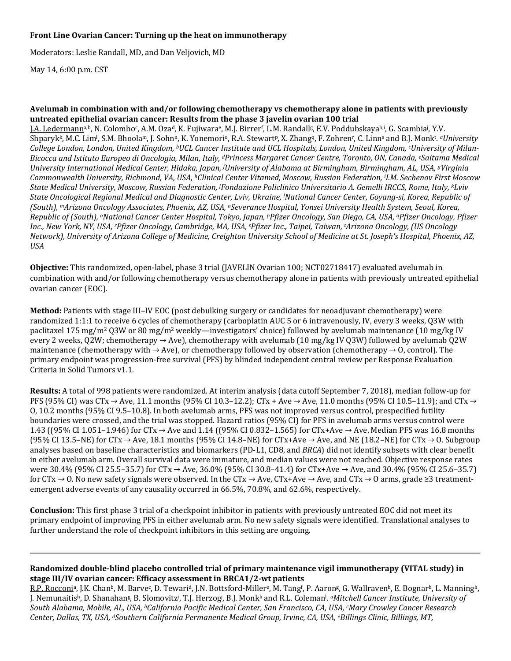### **Front Line Ovarian Cancer: Turning up the heat on immunotherapy**

Moderators: Leslie Randall, MD, and Dan Veljovich, MD

May 14, 6:00 p.m. CST

#### **Avelumab in combination with and/or following chemotherapy vs chemotherapy alone in patients with previously untreated epithelial ovarian cancer: Results from the phase 3 javelin ovarian 100 trial**

LA. Ledermann<sup>a,b</sup>, N. Colombo<sup>c</sup>, A.M. Oza<sup>a</sup>, K. Fujiwara<sup>e</sup>, M.J. Birrer<sup>r</sup>, L.M. Randall<sup>g</sup>, E.V. Poddubskayaʰ.ʲ, G. Scambiaʲ, Y.V. Shparyk<sup>k</sup>, M.C. Lim<sup>i</sup>, S.M. Bhoola<sup>m</sup>, J. Sohnʰ, K. Yonemoriº, R.A. Stewartʰ, X. Zhangʰ, F. Zohrenʰ, C. Linnʰ and B.J. Monkʰ. *ªUniversity College London, London, United Kingdom, bUCL Cancer Institute and UCL Hospitals, London, United Kingdom, cUniversity of Milan-Bicocca and Istituto Europeo di Oncologia, Milan, Italy, dPrincess Margaret Cancer Centre, Toronto, ON, Canada, eSaitama Medical*  University International Medical Center, Hidaka, Japan, <sup>f</sup>University of Alabama at Birmingham, Birmingham, AL, USA, <sup>g</sup>Virginia *Commonwealth University, Richmond, VA, USA, hClinical Center Vitamed, Moscow, Russian Federation, i I.M. Sechenov First Moscow State Medical University, Moscow, Russian Federation, j Fondazione Policlinico Universitario A. Gemelli IRCCS, Rome, Italy, kLviv State Oncological Regional Medical and Diagnostic Center, Lviv, Ukraine, l National Cancer Center, Goyang-si, Korea, Republic of (South), mArizona Oncology Associates, Phoenix, AZ, USA, nSeverance Hospital, Yonsei University Health System, Seoul, Korea, Republic of (South), oNational Cancer Center Hospital, Tokyo, Japan, pPfizer Oncology, San Diego, CA, USA, qPfizer Oncology, Pfizer Inc., New York, NY, USA, rPfizer Oncology, Cambridge, MA, USA, s Pfizer Inc., Taipei, Taiwan, t Arizona Oncology, (US Oncology Network), University of Arizona College of Medicine, Creighton University School of Medicine at St. Joseph's Hospital, Phoenix, AZ, USA*

**Objective:** This randomized, open-label, phase 3 trial (JAVELIN Ovarian 100; NCT02718417) evaluated avelumab in combination with and/or following chemotherapy versus chemotherapy alone in patients with previously untreated epithelial ovarian cancer (EOC).

**Method:** Patients with stage III–IV EOC (post debulking surgery or candidates for neoadjuvant chemotherapy) were randomized 1:1:1 to receive 6 cycles of chemotherapy (carboplatin AUC 5 or 6 intravenously, IV, every 3 weeks, Q3W with paclitaxel 175 mg/m2 Q3W or 80 mg/m2 weekly—investigators' choice) followed by avelumab maintenance (10 mg/kg IV every 2 weeks, Q2W; chemotherapy → Ave), chemotherapy with avelumab (10 mg/kg IV Q3W) followed by avelumab Q2W maintenance (chemotherapy with  $\rightarrow$  Ave), or chemotherapy followed by observation (chemotherapy  $\rightarrow$  0, control). The primary endpoint was progression-free survival (PFS) by blinded independent central review per Response Evaluation Criteria in Solid Tumors v1.1.

**Results:** A total of 998 patients were randomized. At interim analysis (data cutoff September 7, 2018), median follow-up for PFS (95% CI) was CTx  $\rightarrow$  Ave, 11.1 months (95% CI 10.3–12.2); CTx + Ave  $\rightarrow$  Ave, 11.0 months (95% CI 10.5–11.9); and CTx  $\rightarrow$ O, 10.2 months (95% CI 9.5–10.8). In both avelumab arms, PFS was not improved versus control, prespecified futility boundaries were crossed, and the trial was stopped. Hazard ratios (95% CI) for PFS in avelumab arms versus control were 1.43 ((95% CI 1.051–1.946) for CTx → Ave and 1.14 ((95% CI 0.832–1.565) for CTx+Ave → Ave. Median PFS was 16.8 months (95% CI 13.5–NE) for CTx  $\rightarrow$  Ave, 18.1 months (95% CI 14.8–NE) for CTx+Ave  $\rightarrow$  Ave, and NE (18.2–NE) for CTx  $\rightarrow$  O. Subgroup analyses based on baseline characteristics and biomarkers (PD-L1, CD8, and *BRCA*) did not identify subsets with clear benefit in either avelumab arm. Overall survival data were immature, and median values were not reached. Objective response rates were 30.4% (95% CI 25.5–35.7) for CTx → Ave, 36.0% (95% CI 30.8–41.4) for CTx+Ave → Ave, and 30.4% (95% CI 25.6–35.7) for CTx  $\rightarrow$  O. No new safety signals were observed. In the CTx  $\rightarrow$  Ave, CTx+Ave  $\rightarrow$  Ave, and CTx  $\rightarrow$  O arms, grade  $\geq$ 3 treatmentemergent adverse events of any causality occurred in 66.5%, 70.8%, and 62.6%, respectively.

**Conclusion:** This first phase 3 trial of a checkpoint inhibitor in patients with previously untreated EOC did not meet its primary endpoint of improving PFS in either avelumab arm. No new safety signals were identified. Translational analyses to further understand the role of checkpoint inhibitors in this setting are ongoing.

## **Randomized double-blind placebo controlled trial of primary maintenance vigil immunotherapy (VITAL study) in stage III/IV ovarian cancer: Efficacy assessment in BRCA1/2-wt patients**

R.P. Rocconia, J.K. Chanb, M. Barvec, D. Tewarid, J.N. Bottsford-Millere, M. Tangf , P. Aarong, G. Wallravenh, E. Bognarh, L. Manningh, J. Nemunaitis<sup>h</sup>, D. Shanahan<sup>g</sup>, B. Slomovitz<sup>i</sup>, T.J. Herzog<sup>j</sup>, B.J. Monkk and R.L. Coleman<sup>i</sup>. *ªMitchell Cancer Institute, University of South Alabama, Mobile, AL, USA, bCalifornia Pacific Medical Center, San Francisco, CA, USA, cMary Crowley Cancer Research Center, Dallas, TX, USA, dSouthern California Permanente Medical Group, Irvine, CA, USA, eBillings Clinic, Billings, MT,*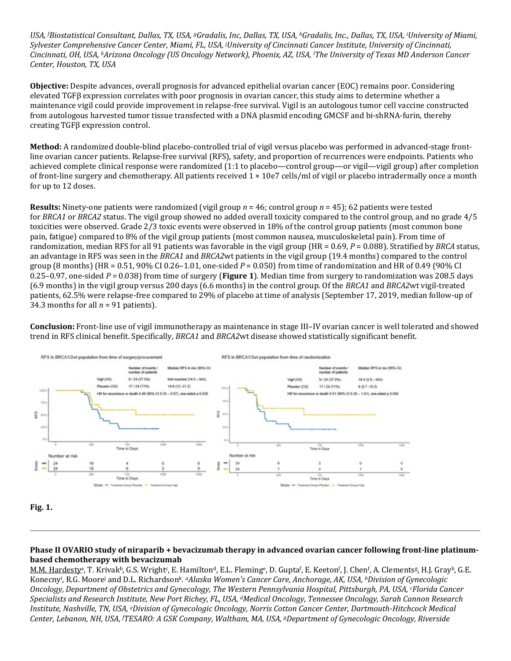*USA, <sup>f</sup> Biostatistical Consultant, Dallas, TX, USA, gGradalis, Inc, Dallas, TX, USA, hGradalis, Inc., Dallas, TX, USA, <sup>i</sup> University of Miami, Sylvester Comprehensive Cancer Center, Miami, FL, USA, <sup>j</sup> University of Cincinnati Cancer Institute, University of Cincinnati, Cincinnati, OH, USA, kArizona Oncology (US Oncology Network), Phoenix, AZ, USA, <sup>l</sup> The University of Texas MD Anderson Cancer Center, Houston, TX, USA*

**Objective:** Despite advances, overall prognosis for advanced epithelial ovarian cancer (EOC) remains poor. Considering elevated TGFβ expression correlates with poor prognosis in ovarian cancer, this study aims to determine whether a maintenance vigil could provide improvement in relapse-free survival. Vigil is an autologous tumor cell vaccine constructed from autologous harvested tumor tissue transfected with a DNA plasmid encoding GMCSF and bi-shRNA-furin, thereby creating TGFβ expression control.

**Method:** A randomized double-blind placebo-controlled trial of vigil versus placebo was performed in advanced-stage frontline ovarian cancer patients. Relapse-free survival (RFS), safety, and proportion of recurrences were endpoints. Patients who achieved complete clinical response were randomized (1:1 to placebo—control group—or vigil—vigil group) after completion of front-line surgery and chemotherapy. All patients received 1 × 10e7 cells/ml of vigil or placebo intradermally once a month for up to 12 doses.

**Results:** Ninety-one patients were randomized (vigil group *n* = 46; control group *n* = 45); 62 patients were tested for *BRCA1* or *BRCA2* status. The vigil group showed no added overall toxicity compared to the control group, and no grade 4/5 toxicities were observed. Grade 2/3 toxic events were observed in 18% of the control group patients (most common bone pain, fatigue) compared to 8% of the vigil group patients (most common nausea, musculoskeletal pain). From time of randomization, median RFS for all 91 patients was favorable in the vigil group (HR = 0.69, *P* = 0.088). Stratified by *BRCA* status, an advantage in RFS was seen in the *BRCA1* and *BRCA2*wt patients in the vigil group (19.4 months) compared to the control group (8 months) (HR = 0.51, 90% CI 0.26–1.01, one-sided *P* = 0.050) from time of randomization and HR of 0.49 (90% CI 0.25–0.97, one-sided *P =* 0.038) from time of surgery (**Figure 1**). Median time from surgery to randomization was 208.5 days (6.9 months) in the vigil group versus 200 days (6.6 months) in the control group. Of the *BRCA1* and *BRCA2*wt vigil-treated patients, 62.5% were relapse-free compared to 29% of placebo at time of analysis (September 17, 2019, median follow-up of 34.3 months for all  $n = 91$  patients).

**Conclusion:** Front-line use of vigil immunotherapy as maintenance in stage III–IV ovarian cancer is well tolerated and showed trend in RFS clinical benefit. Specifically, *BRCA1* and *BRCA2*wt disease showed statistically significant benefit.



**Fig. 1.**

## **Phase II OVARIO study of niraparib + bevacizumab therapy in advanced ovarian cancer following front-line platinumbased chemotherapy with bevacizumab**

M.M. Hardestyª, T. Krivakʰ, G.S. Wrightˤ, E. Hamiltonª, E.L. Flemingª, D. Guptaʰ, E. Keetonʰ, J. Chenʰ, A. Clementsª, H.J. Grayʰ, G.E. Konecnyi , R.G. Moorej and D.L. Richardsonk. *aAlaska Women's Cancer Care, Anchorage, AK, USA, bDivision of Gynecologic Oncology, Department of Obstetrics and Gynecology, The Western Pennsylvania Hospital, Pittsburgh, PA, USA, cFlorida Cancer Specialists and Research Institute, New Port Richey, FL, USA, dMedical Oncology, Tennessee Oncology, Sarah Cannon Research Institute, Nashville, TN, USA, eDivision of Gynecologic Oncology, Norris Cotton Cancer Center, Dartmouth-Hitchcock Medical Center, Lebanon, NH, USA, f TESARO: A GSK Company, Waltham, MA, USA, gDepartment of Gynecologic Oncology, Riverside*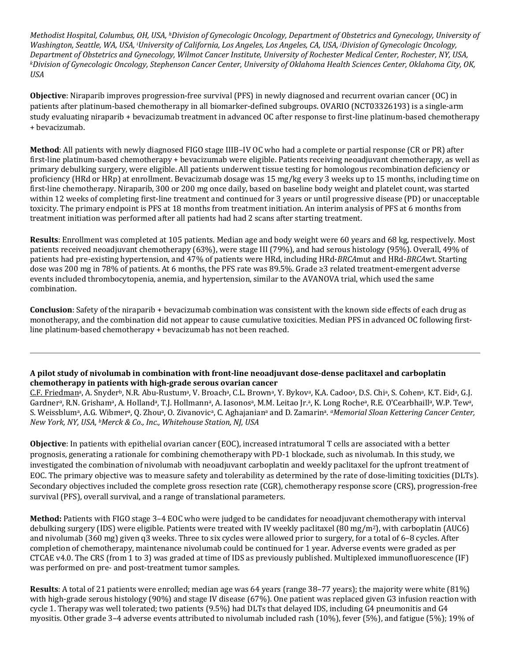*Methodist Hospital, Columbus, OH, USA, hDivision of Gynecologic Oncology, Department of Obstetrics and Gynecology, University of Washington, Seattle, WA, USA, i University of California, Los Angeles, Los Angeles, CA, USA, j Division of Gynecologic Oncology, Department of Obstetrics and Gynecology, Wilmot Cancer Institute, University of Rochester Medical Center, Rochester, NY, USA, kDivision of Gynecologic Oncology, Stephenson Cancer Center, University of Oklahoma Health Sciences Center, Oklahoma City, OK, USA*

**Objective**: Niraparib improves progression-free survival (PFS) in newly diagnosed and recurrent ovarian cancer (OC) in patients after platinum-based chemotherapy in all biomarker-defined subgroups. OVARIO (NCT03326193) is a single-arm study evaluating niraparib + bevacizumab treatment in advanced OC after response to first-line platinum-based chemotherapy + bevacizumab.

**Method**: All patients with newly diagnosed FIGO stage IIIB–IV OC who had a complete or partial response (CR or PR) after first-line platinum-based chemotherapy + bevacizumab were eligible. Patients receiving neoadjuvant chemotherapy, as well as primary debulking surgery, were eligible. All patients underwent tissue testing for homologous recombination deficiency or proficiency (HRd or HRp) at enrollment. Bevacizumab dosage was 15 mg/kg every 3 weeks up to 15 months, including time on first-line chemotherapy. Niraparib, 300 or 200 mg once daily, based on baseline body weight and platelet count, was started within 12 weeks of completing first-line treatment and continued for 3 years or until progressive disease (PD) or unacceptable toxicity. The primary endpoint is PFS at 18 months from treatment initiation. An interim analysis of PFS at 6 months from treatment initiation was performed after all patients had had 2 scans after starting treatment.

**Results**: Enrollment was completed at 105 patients. Median age and body weight were 60 years and 68 kg, respectively. Most patients received neoadjuvant chemotherapy (63%), were stage III (79%), and had serous histology (95%). Overall, 49% of patients had pre-existing hypertension, and 47% of patients were HRd, including HRd-*BRCA*mut and HRd-*BRCA*wt. Starting dose was 200 mg in 78% of patients. At 6 months, the PFS rate was 89.5%. Grade ≥3 related treatment-emergent adverse events included thrombocytopenia, anemia, and hypertension, similar to the AVANOVA trial, which used the same combination.

**Conclusion**: Safety of the niraparib + bevacizumab combination was consistent with the known side effects of each drug as monotherapy, and the combination did not appear to cause cumulative toxicities. Median PFS in advanced OC following firstline platinum-based chemotherapy + bevacizumab has not been reached.

#### **A pilot study of nivolumab in combination with front-line neoadjuvant dose-dense paclitaxel and carboplatin chemotherapy in patients with high-grade serous ovarian cancer**

C.F. Friedmana, A. Snyderb, N.R. Abu-Rustuma, V. Broacha, C.L. Browna, Y. Bykova, K.A. Cadooa, D.S. Chia, S. Cohena, K.T. Eida, G.J. Gardner<sup>a</sup>, R.N. Grisham<sup>a</sup>, A. Holland<sup>a</sup>, T.J. Hollmann<sup>a</sup>, A. Iasonos<sup>a</sup>, M.M. Leitao Jr.<sup>a</sup>, K. Long Roche<sup>a</sup>, R.E. O'Cearbhaill<sup>a</sup>, W.P. Tew<sup>a</sup>, S. Weissblum<sup>a</sup>, A.G. Wibmer<sup>a</sup>, Q. Zhou<sup>a</sup>, O. Zivanovic<sup>a</sup>, C. Aghajanian<sup>a</sup> and D. Zamarin<sup>a</sup>. *<sup>a</sup>Memorial Sloan Kettering Cancer Center*, *New York, NY, USA, bMerck & Co., Inc., Whitehouse Station, NJ, USA*

**Objective**: In patients with epithelial ovarian cancer (EOC), increased intratumoral T cells are associated with a better prognosis, generating a rationale for combining chemotherapy with PD-1 blockade, such as nivolumab. In this study, we investigated the combination of nivolumab with neoadjuvant carboplatin and weekly paclitaxel for the upfront treatment of EOC. The primary objective was to measure safety and tolerability as determined by the rate of dose-limiting toxicities (DLTs). Secondary objectives included the complete gross resection rate (CGR), chemotherapy response score (CRS), progression-free survival (PFS), overall survival, and a range of translational parameters.

**Method:** Patients with FIGO stage 3–4 EOC who were judged to be candidates for neoadjuvant chemotherapy with interval debulking surgery (IDS) were eligible. Patients were treated with IV weekly paclitaxel (80 mg/m2), with carboplatin (AUC6) and nivolumab (360 mg) given q3 weeks. Three to six cycles were allowed prior to surgery, for a total of 6–8 cycles. After completion of chemotherapy, maintenance nivolumab could be continued for 1 year. Adverse events were graded as per CTCAE v4.0. The CRS (from 1 to 3) was graded at time of IDS as previously published. Multiplexed immunofluorescence (IF) was performed on pre- and post-treatment tumor samples.

**Results**: A total of 21 patients were enrolled; median age was 64 years (range 38–77 years); the majority were white (81%) with high-grade serous histology (90%) and stage IV disease (67%). One patient was replaced given G3 infusion reaction with cycle 1. Therapy was well tolerated; two patients (9.5%) had DLTs that delayed IDS, including G4 pneumonitis and G4 myositis. Other grade 3–4 adverse events attributed to nivolumab included rash (10%), fever (5%), and fatigue (5%); 19% of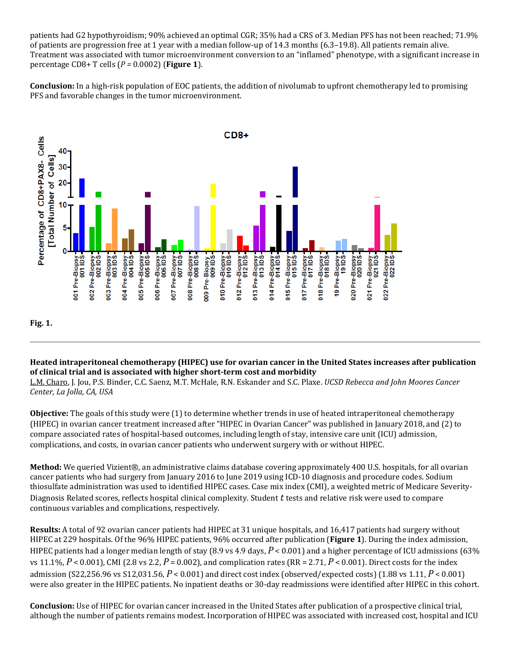patients had G2 hypothyroidism; 90% achieved an optimal CGR; 35% had a CRS of 3. Median PFS has not been reached; 71.9% of patients are progression free at 1 year with a median follow-up of 14.3 months (6.3–19.8). All patients remain alive. Treatment was associated with tumor microenvironment conversion to an "inflamed" phenotype, with a significant increase in percentage CD8+ T cells (*P =* 0.0002) (**Figure 1**).

**Conclusion:** In a high-risk population of EOC patients, the addition of nivolumab to upfront chemotherapy led to promising PFS and favorable changes in the tumor microenvironment.



# **Heated intraperitoneal chemotherapy (HIPEC) use for ovarian cancer in the United States increases after publication of clinical trial and is associated with higher short-term cost and morbidity**

L.M. Charo, J. Jou, P.S. Binder, C.C. Saenz, M.T. McHale, R.N. Eskander and S.C. Plaxe. *UCSD Rebecca and John Moores Cancer Center, La Jolla, CA, USA*

**Objective:** The goals of this study were (1) to determine whether trends in use of heated intraperitoneal chemotherapy (HIPEC) in ovarian cancer treatment increased after "HIPEC in Ovarian Cancer" was published in January 2018, and (2) to compare associated rates of hospital-based outcomes, including length of stay, intensive care unit (ICU) admission, complications, and costs, in ovarian cancer patients who underwent surgery with or without HIPEC.

**Method:** We queried Vizient®, an administrative claims database covering approximately 400 U.S. hospitals, for all ovarian cancer patients who had surgery from January 2016 to June 2019 using ICD-10 diagnosis and procedure codes. Sodium thiosulfate administration was used to identified HIPEC cases. Case mix index (CMI), a weighted metric of Medicare Severity-Diagnosis Related scores, reflects hospital clinical complexity. Student *t* tests and relative risk were used to compare continuous variables and complications, respectively.

**Results:** A total of 92 ovarian cancer patients had HIPEC at 31 unique hospitals, and 16,417 patients had surgery without HIPEC at 229 hospitals. Of the 96% HIPEC patients, 96% occurred after publication (**Figure 1**). During the index admission, HIPEC patients had a longer median length of stay (8.9 vs 4.9 days, *P* < 0.001) and a higher percentage of ICU admissions (63% vs 11.1%, *P* < 0.001), CMI (2.8 vs 2.2, *P* = 0.002), and complication rates (RR = 2.71, *P* < 0.001). Direct costs for the index admission (S22,256.96 vs S12,031.56, *P* < 0.001) and direct cost index (observed/expected costs) (1.88 vs 1.11, *P* < 0.001) were also greater in the HIPEC patients. No inpatient deaths or 30-day readmissions were identified after HIPEC in this cohort.

**Conclusion:** Use of HIPEC for ovarian cancer increased in the United States after publication of a prospective clinical trial, although the number of patients remains modest. Incorporation of HIPEC was associated with increased cost, hospital and ICU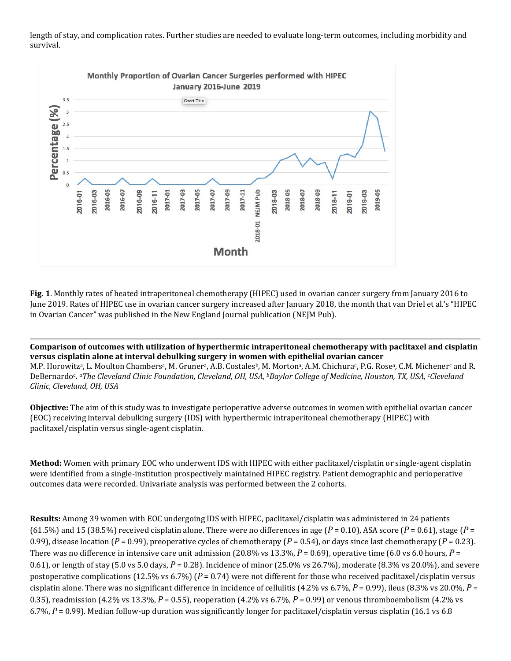length of stay, and complication rates. Further studies are needed to evaluate long-term outcomes, including morbidity and survival.



**Fig. 1**. Monthly rates of heated intraperitoneal chemotherapy (HIPEC) used in ovarian cancer surgery from January 2016 to June 2019. Rates of HIPEC use in ovarian cancer surgery increased after January 2018, the month that van Driel et al.'s "HIPEC in Ovarian Cancer" was published in the New England Journal publication (NEJM Pub).

**Comparison of outcomes with utilization of hyperthermic intraperitoneal chemotherapy with paclitaxel and cisplatin versus cisplatin alone at interval debulking surgery in women with epithelial ovarian cancer** M.P. Horowitz<sup>a</sup>, L. Moulton Chambers<sup>a</sup>, M. Gruner<sup>a</sup>, A.B. Costales<sup>b</sup>, M. Morton<sup>a</sup>, A.M. Chichura<sup>c</sup>, P.G. Rosea, C.M. Michener<sup>c</sup> and R. DeBernardoc. *aThe Cleveland Clinic Foundation, Cleveland, OH, USA, bBaylor College of Medicine, Houston, TX, USA, cCleveland Clinic, Cleveland, OH, USA*

**Objective:** The aim of this study was to investigate perioperative adverse outcomes in women with epithelial ovarian cancer (EOC) receiving interval debulking surgery (IDS) with hyperthermic intraperitoneal chemotherapy (HIPEC) with paclitaxel/cisplatin versus single-agent cisplatin.

**Method:** Women with primary EOC who underwent IDS with HIPEC with either paclitaxel/cisplatin or single-agent cisplatin were identified from a single-institution prospectively maintained HIPEC registry. Patient demographic and perioperative outcomes data were recorded. Univariate analysis was performed between the 2 cohorts.

**Results:** Among 39 women with EOC undergoing IDS with HIPEC, paclitaxel/cisplatin was administered in 24 patients (61.5%) and 15 (38.5%) received cisplatin alone. There were no differences in age ( $P = 0.10$ ), ASA score ( $P = 0.61$ ), stage ( $P = 0.61$ ) 0.99), disease location (*P* = 0.99), preoperative cycles of chemotherapy (*P* = 0.54), or days since last chemotherapy (*P* = 0.23). There was no difference in intensive care unit admission (20.8% vs 13.3%,  $P = 0.69$ ), operative time (6.0 vs 6.0 hours,  $P =$ 0.61), or length of stay (5.0 vs 5.0 days, *P* = 0.28). Incidence of minor (25.0% vs 26.7%), moderate (8.3% vs 20.0%), and severe postoperative complications (12.5% vs 6.7%) (*P* = 0.74) were not different for those who received paclitaxel/cisplatin versus cisplatin alone. There was no significant difference in incidence of cellulitis (4.2% vs 6.7%, *P* = 0.99), ileus (8.3% vs 20.0%, *P* = 0.35), readmission (4.2% vs 13.3%, *P* = 0.55), reoperation (4.2% vs 6.7%, *P* = 0.99) or venous thromboembolism (4.2% vs 6.7%, *P* = 0.99). Median follow-up duration was significantly longer for paclitaxel/cisplatin versus cisplatin (16.1 vs 6.8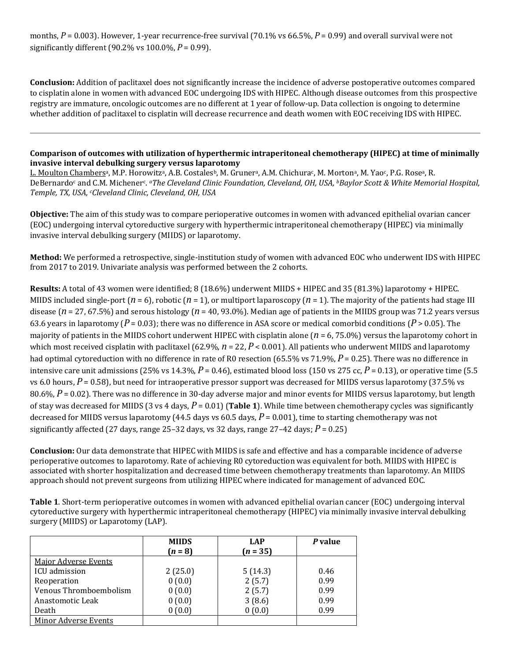months,  $P = 0.003$ ). However, 1-year recurrence-free survival (70.1% vs 66.5%,  $P = 0.99$ ) and overall survival were not significantly different (90.2% vs 100.0%, *P* = 0.99).

**Conclusion:** Addition of paclitaxel does not significantly increase the incidence of adverse postoperative outcomes compared to cisplatin alone in women with advanced EOC undergoing IDS with HIPEC. Although disease outcomes from this prospective registry are immature, oncologic outcomes are no different at 1 year of follow-up. Data collection is ongoing to determine whether addition of paclitaxel to cisplatin will decrease recurrence and death women with EOC receiving IDS with HIPEC.

## **Comparison of outcomes with utilization of hyperthermic intraperitoneal chemotherapy (HIPEC) at time of minimally invasive interval debulking surgery versus laparotomy**

L. Moulton Chambers<sup>a</sup>, M.P. Horowitz<sup>a</sup>, A.B. Costales<sup>b</sup>, M. Gruner<sup>a</sup>, A.M. Chichura<sup>c</sup>, M. Morton<sup>a</sup>, M. Yao<sup>c</sup>, P.G. Rose<sup>a</sup>, R. DeBernardoc and C.M. Michenerc. *aThe Cleveland Clinic Foundation, Cleveland, OH, USA, bBaylor Scott & White Memorial Hospital, Temple, TX, USA, cCleveland Clinic, Cleveland, OH, USA*

**Objective:** The aim of this study was to compare perioperative outcomes in women with advanced epithelial ovarian cancer (EOC) undergoing interval cytoreductive surgery with hyperthermic intraperitoneal chemotherapy (HIPEC) via minimally invasive interval debulking surgery (MIIDS) or laparotomy.

**Method:** We performed a retrospective, single-institution study of women with advanced EOC who underwent IDS with HIPEC from 2017 to 2019. Univariate analysis was performed between the 2 cohorts.

**Results:** A total of 43 women were identified; 8 (18.6%) underwent MIIDS + HIPEC and 35 (81.3%) laparotomy + HIPEC. MIIDS included single-port  $(n = 6)$ , robotic  $(n = 1)$ , or multiport laparoscopy  $(n = 1)$ . The majority of the patients had stage III disease (*n* = 27, 67.5%) and serous histology (*n* = 40, 93.0%). Median age of patients in the MIIDS group was 71.2 years versus 63.6 years in laparotomy ( $P = 0.03$ ); there was no difference in ASA score or medical comorbid conditions ( $P > 0.05$ ). The majority of patients in the MIIDS cohort underwent HIPEC with cisplatin alone (*n* = 6, 75.0%) versus the laparotomy cohort in which most received cisplatin with paclitaxel (62.9%,  $n = 22$ ,  $P < 0.001$ ). All patients who underwent MIIDS and laparotomy had optimal cytoreduction with no difference in rate of R0 resection (65.5% vs 71.9%, *P* = 0.25). There was no difference in intensive care unit admissions (25% vs 14.3%,  $P = 0.46$ ), estimated blood loss (150 vs 275 cc,  $P = 0.13$ ), or operative time (5.5 vs 6.0 hours, *P* = 0.58), but need for intraoperative pressor support was decreased for MIIDS versus laparotomy (37.5% vs 80.6%, *P* = 0.02). There was no difference in 30-day adverse major and minor events for MIIDS versus laparotomy, but length of stay was decreased for MIIDS (3 vs 4 days, *P* = 0.01) (**Table 1**). While time between chemotherapy cycles was significantly decreased for MIIDS versus laparotomy (44.5 days vs 60.5 days, *P* = 0.001), time to starting chemotherapy was not significantly affected (27 days, range 25–32 days, vs 32 days, range  $27-42$  days;  $P = 0.25$ )

**Conclusion:** Our data demonstrate that HIPEC with MIIDS is safe and effective and has a comparable incidence of adverse perioperative outcomes to laparotomy. Rate of achieving R0 cytoreduction was equivalent for both. MIIDS with HIPEC is associated with shorter hospitalization and decreased time between chemotherapy treatments than laparotomy. An MIIDS approach should not prevent surgeons from utilizing HIPEC where indicated for management of advanced EOC.

**Table 1**. Short-term perioperative outcomes in women with advanced epithelial ovarian cancer (EOC) undergoing interval cytoreductive surgery with hyperthermic intraperitoneal chemotherapy (HIPEC) via minimally invasive interval debulking surgery (MIIDS) or Laparotomy (LAP).

|                             | <b>MIIDS</b> | <b>LAP</b> | P value |
|-----------------------------|--------------|------------|---------|
|                             | $(n = 8)$    | $(n = 35)$ |         |
| <b>Major Adverse Events</b> |              |            |         |
| ICU admission               | 2(25.0)      | 5(14.3)    | 0.46    |
| Reoperation                 | 0(0.0)       | 2(5.7)     | 0.99    |
| Venous Thromboembolism      | 0(0.0)       | 2(5.7)     | 0.99    |
| Anastomotic Leak            | 0(0.0)       | 3(8.6)     | 0.99    |
| Death                       | 0(0.0)       | 0(0.0)     | 0.99    |
| <b>Minor Adverse Events</b> |              |            |         |